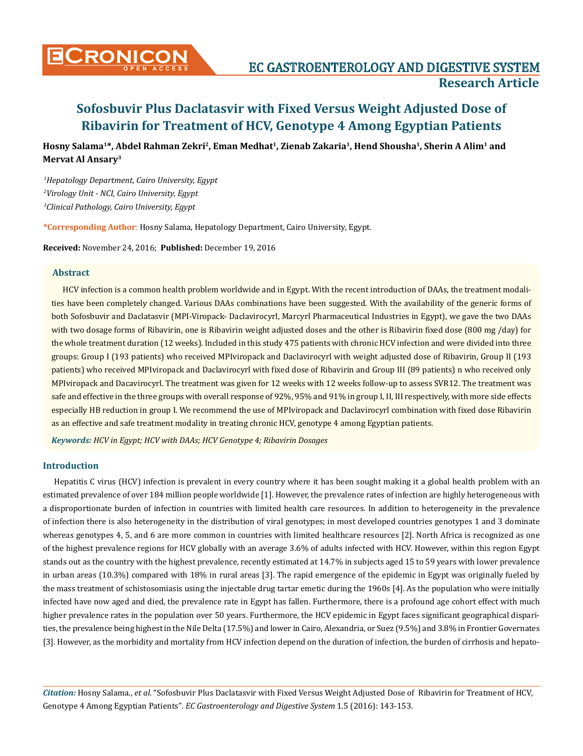

**Hosny Salama1\*, Abdel Rahman Zekri2, Eman Medhat1, Zienab Zakaria1, Hend Shousha1, Sherin A Alim1 and Mervat Al Ansary3**

*1 Hepatology Department, Cairo University, Egypt 2 Virology Unit - NCI, Cairo University, Egypt 3 Clinical Pathology, Cairo University, Egypt*

**\*Corresponding Author**: Hosny Salama, Hepatology Department, Cairo University, Egypt.

**Received:** November 24, 2016; **Published:** December 19, 2016

### **Abstract**

HCV infection is a common health problem worldwide and in Egypt. With the recent introduction of DAAs, the treatment modalities have been completely changed. Various DAAs combinations have been suggested. With the availability of the generic forms of both Sofosbuvir and Daclatasvir (MPI-Viropack- Daclavirocyrl, Marcyrl Pharmaceutical Industries in Egypt), we gave the two DAAs with two dosage forms of Ribavirin, one is Ribavirin weight adjusted doses and the other is Ribavirin fixed dose (800 mg /day) for the whole treatment duration (12 weeks). Included in this study 475 patients with chronic HCV infection and were divided into three groups: Group I (193 patients) who received MPIviropack and Daclavirocyrl with weight adjusted dose of Ribavirin, Group II (193 patients) who received MPIviropack and Daclavirocyrl with fixed dose of Ribavirin and Group III (89 patients) n who received only MPIviropack and Dacavirocyrl. The treatment was given for 12 weeks with 12 weeks follow-up to assess SVR12. The treatment was safe and effective in the three groups with overall response of 92%, 95% and 91% in group I, II, III respectively, with more side effects especially HB reduction in group I. We recommend the use of MPIviropack and Daclavirocyrl combination with fixed dose Ribavirin as an effective and safe treatment modality in treating chronic HCV, genotype 4 among Egyptian patients.

*Keywords: HCV in Egypt; HCV with DAAs; HCV Genotype 4; Ribavirin Dosages*

### **Introduction**

Hepatitis C virus (HCV) infection is prevalent in every country where it has been sought making it a global health problem with an estimated prevalence of over 184 million people worldwide [1]. However, the prevalence rates of infection are highly heterogeneous with a disproportionate burden of infection in countries with limited health care resources. In addition to heterogeneity in the prevalence of infection there is also heterogeneity in the distribution of viral genotypes; in most developed countries genotypes 1 and 3 dominate whereas genotypes 4, 5, and 6 are more common in countries with limited healthcare resources [2]. North Africa is recognized as one of the highest prevalence regions for HCV globally with an average 3.6% of adults infected with HCV. However, within this region Egypt stands out as the country with the highest prevalence, recently estimated at 14.7% in subjects aged 15 to 59 years with lower prevalence in urban areas (10.3%) compared with 18% in rural areas [3]. The rapid emergence of the epidemic in Egypt was originally fueled by the mass treatment of schistosomiasis using the injectable drug tartar emetic during the 1960s [4]. As the population who were initially infected have now aged and died, the prevalence rate in Egypt has fallen. Furthermore, there is a profound age cohort effect with much higher prevalence rates in the population over 50 years. Furthermore, the HCV epidemic in Egypt faces significant geographical disparities, the prevalence being highest in the Nile Delta (17.5%) and lower in Cairo, Alexandria, or Suez (9.5%) and 3.8% in Frontier Governates [3]. However, as the morbidity and mortality from HCV infection depend on the duration of infection, the burden of cirrhosis and hepato-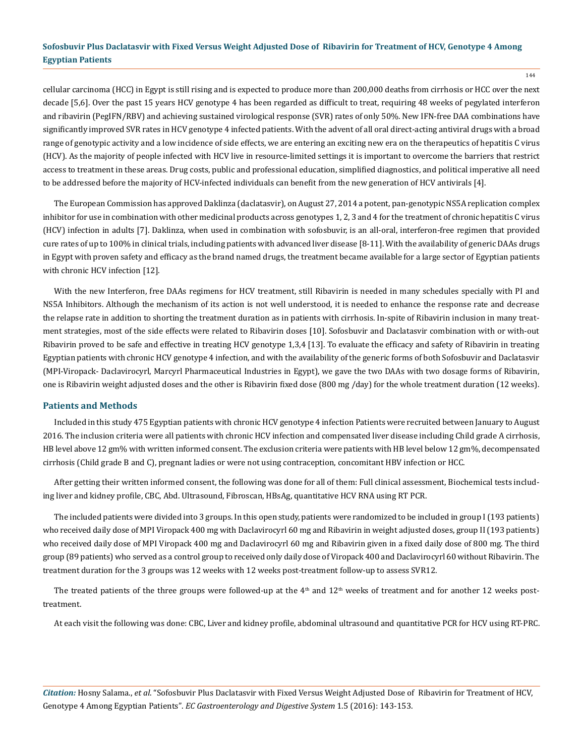cellular carcinoma (HCC) in Egypt is still rising and is expected to produce more than 200,000 deaths from cirrhosis or HCC over the next decade [5,6]. Over the past 15 years HCV genotype 4 has been regarded as difficult to treat, requiring 48 weeks of pegylated interferon and ribavirin (PegIFN/RBV) and achieving sustained virological response (SVR) rates of only 50%. New IFN-free DAA combinations have significantly improved SVR rates in HCV genotype 4 infected patients. With the advent of all oral direct-acting antiviral drugs with a broad range of genotypic activity and a low incidence of side effects, we are entering an exciting new era on the therapeutics of hepatitis C virus (HCV). As the majority of people infected with HCV live in resource-limited settings it is important to overcome the barriers that restrict access to treatment in these areas. Drug costs, public and professional education, simplified diagnostics, and political imperative all need to be addressed before the majority of HCV-infected individuals can benefit from the new generation of HCV antivirals [4].

The European Commission has approved Daklinza (daclatasvir), on August 27, 2014 a potent, pan-genotypic NS5A replication complex inhibitor for use in combination with other medicinal products across genotypes 1, 2, 3 and 4 for the treatment of chronic hepatitis C virus (HCV) infection in adults [7]. Daklinza, when used in combination with sofosbuvir, is an all-oral, interferon-free regimen that provided cure rates of up to 100% in clinical trials, including patients with advanced liver disease [8-11]. With the availability of generic DAAs drugs in Egypt with proven safety and efficacy as the brand named drugs, the treatment became available for a large sector of Egyptian patients with chronic HCV infection [12].

With the new Interferon, free DAAs regimens for HCV treatment, still Ribavirin is needed in many schedules specially with PI and NS5A Inhibitors. Although the mechanism of its action is not well understood, it is needed to enhance the response rate and decrease the relapse rate in addition to shorting the treatment duration as in patients with cirrhosis. In-spite of Ribavirin inclusion in many treatment strategies, most of the side effects were related to Ribavirin doses [10]. Sofosbuvir and Daclatasvir combination with or with-out Ribavirin proved to be safe and effective in treating HCV genotype 1,3,4 [13]. To evaluate the efficacy and safety of Ribavirin in treating Egyptian patients with chronic HCV genotype 4 infection, and with the availability of the generic forms of both Sofosbuvir and Daclatasvir (MPI-Viropack- Daclavirocyrl, Marcyrl Pharmaceutical Industries in Egypt), we gave the two DAAs with two dosage forms of Ribavirin, one is Ribavirin weight adjusted doses and the other is Ribavirin fixed dose (800 mg /day) for the whole treatment duration (12 weeks).

#### **Patients and Methods**

Included in this study 475 Egyptian patients with chronic HCV genotype 4 infection Patients were recruited between January to August 2016. The inclusion criteria were all patients with chronic HCV infection and compensated liver disease including Child grade A cirrhosis, HB level above 12 gm% with written informed consent. The exclusion criteria were patients with HB level below 12 gm%, decompensated cirrhosis (Child grade B and C), pregnant ladies or were not using contraception, concomitant HBV infection or HCC.

After getting their written informed consent, the following was done for all of them: Full clinical assessment, Biochemical tests including liver and kidney profile, CBC, Abd. Ultrasound, Fibroscan, HBsAg, quantitative HCV RNA using RT PCR.

The included patients were divided into 3 groups. In this open study, patients were randomized to be included in group I (193 patients) who received daily dose of MPI Viropack 400 mg with Daclavirocyrl 60 mg and Ribavirin in weight adjusted doses, group II (193 patients) who received daily dose of MPI Viropack 400 mg and Daclavirocyrl 60 mg and Ribavirin given in a fixed daily dose of 800 mg. The third group (89 patients) who served as a control group to received only daily dose of Viropack 400 and Daclavirocyrl 60 without Ribavirin. The treatment duration for the 3 groups was 12 weeks with 12 weeks post-treatment follow-up to assess SVR12.

The treated patients of the three groups were followed-up at the  $4<sup>th</sup>$  and  $12<sup>th</sup>$  weeks of treatment and for another 12 weeks posttreatment.

At each visit the following was done: CBC, Liver and kidney profile, abdominal ultrasound and quantitative PCR for HCV using RT-PRC.

*Citation:* Hosny Salama., *et al*. "Sofosbuvir Plus Daclatasvir with Fixed Versus Weight Adjusted Dose of Ribavirin for Treatment of HCV, Genotype 4 Among Egyptian Patients". *EC Gastroenterology and Digestive System* 1.5 (2016): 143-153.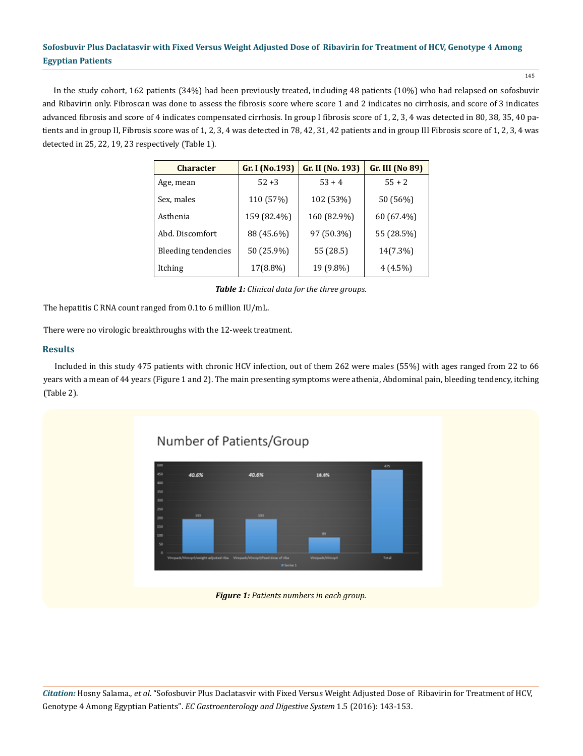145

In the study cohort, 162 patients (34%) had been previously treated, including 48 patients (10%) who had relapsed on sofosbuvir and Ribavirin only. Fibroscan was done to assess the fibrosis score where score 1 and 2 indicates no cirrhosis, and score of 3 indicates advanced fibrosis and score of 4 indicates compensated cirrhosis. In group I fibrosis score of 1, 2, 3, 4 was detected in 80, 38, 35, 40 patients and in group II, Fibrosis score was of 1, 2, 3, 4 was detected in 78, 42, 31, 42 patients and in group III Fibrosis score of 1, 2, 3, 4 was detected in 25, 22, 19, 23 respectively (Table 1).

| <b>Character</b>           | Gr. I (No.193) | Gr. II (No. 193) | Gr. III (No 89) |
|----------------------------|----------------|------------------|-----------------|
| Age, mean                  | $52 + 3$       | $53 + 4$         | $55 + 2$        |
| Sex, males                 | 110 (57%)      | 102 (53%)        | 50 (56%)        |
| Asthenia                   | 159 (82.4%)    | 160 (82.9%)      | 60 (67.4%)      |
| Abd. Discomfort            | 88 (45.6%)     | 97 (50.3%)       | 55 (28.5%)      |
| <b>Bleeding tendencies</b> | 50 (25.9%)     | 55 (28.5)        | 14(7.3%)        |
| Itching                    | 17(8.8%)       | 19 (9.8%)        | $4(4.5\%)$      |

*Table 1: Clinical data for the three groups.*

The hepatitis C RNA count ranged from 0.1to 6 million IU/mL.

There were no virologic breakthroughs with the 12-week treatment.

### **Results**

Included in this study 475 patients with chronic HCV infection, out of them 262 were males (55%) with ages ranged from 22 to 66 years with a mean of 44 years (Figure 1 and 2). The main presenting symptoms were athenia, Abdominal pain, bleeding tendency, itching (Table 2).

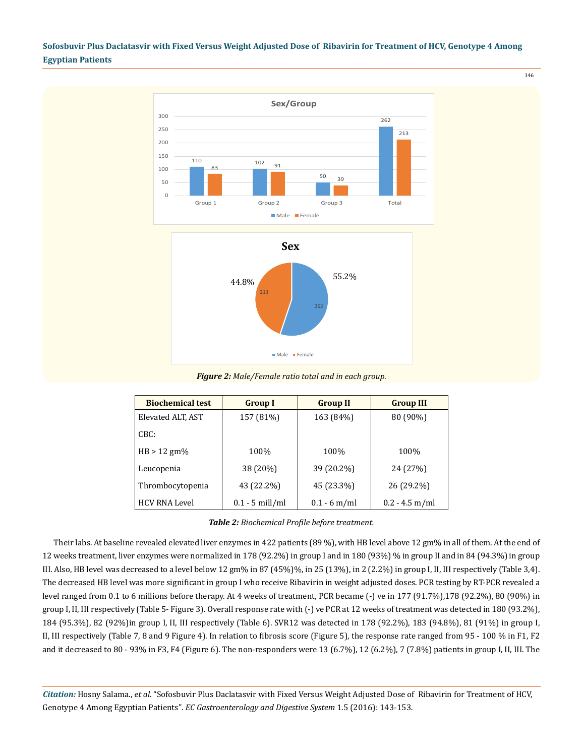

146

*Figure 2: Male/Female ratio total and in each group.*

| <b>Biochemical test</b> | <b>Group I</b>    | <b>Group II</b> | <b>Group III</b> |
|-------------------------|-------------------|-----------------|------------------|
| Elevated ALT, AST       | 157 (81%)         | 163 (84%)       | 80 (90%)         |
| CBC:                    |                   |                 |                  |
| $HB > 12$ gm%           | 100%              | 100%            | 100%             |
| Leucopenia              | 38 (20%)          | 39 (20.2%)      | 24 (27%)         |
| Thrombocytopenia        | 43 (22.2%)        | 45 (23.3%)      | 26 (29.2%)       |
| <b>HCV RNA Level</b>    | $0.1 - 5$ mill/ml | $0.1 - 6$ m/ml  | $0.2 - 4.5$ m/ml |

Their labs. At baseline revealed elevated liver enzymes in 422 patients (89 %), with HB level above 12 gm% in all of them. At the end of 12 weeks treatment, liver enzymes were normalized in 178 (92.2%) in group I and in 180 (93%) % in group II and in 84 (94.3%) in group III. Also, HB level was decreased to a level below 12 gm% in 87 (45%)%, in 25 (13%), in 2 (2.2%) in group I, II, III respectively (Table 3,4). The decreased HB level was more significant in group I who receive Ribavirin in weight adjusted doses. PCR testing by RT-PCR revealed a level ranged from 0.1 to 6 millions before therapy. At 4 weeks of treatment, PCR became (-) ve in 177 (91.7%),178 (92.2%), 80 (90%) in group I, II, III respectively (Table 5- Figure 3). Overall response rate with (-) ve PCR at 12 weeks of treatment was detected in 180 (93.2%), 184 (95.3%), 82 (92%)in group I, II, III respectively (Table 6). SVR12 was detected in 178 (92.2%), 183 (94.8%), 81 (91%) in group I, II, III respectively (Table 7, 8 and 9 Figure 4). In relation to fibrosis score (Figure 5), the response rate ranged from 95 - 100 % in F1, F2 and it decreased to 80 - 93% in F3, F4 (Figure 6). The non-responders were 13 (6.7%), 12 (6.2%), 7 (7.8%) patients in group I, II, III. The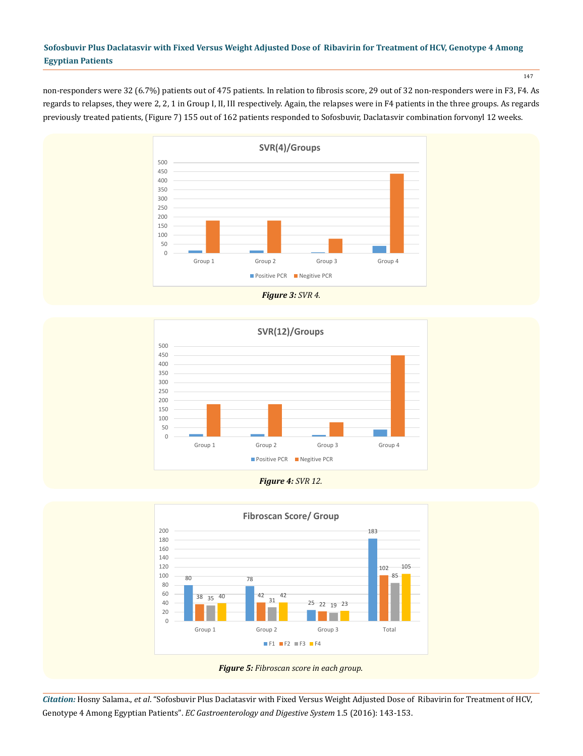non-responders were 32 (6.7%) patients out of 475 patients. In relation to fibrosis score, 29 out of 32 non-responders were in F3, F4. As regards to relapses, they were 2, 2, 1 in Group I, II, III respectively. Again, the relapses were in F4 patients in the three groups. As regards previously treated patients, (Figure 7) 155 out of 162 patients responded to Sofosbuvir, Daclatasvir combination forvonyl 12 weeks.



*Figure 3: SVR 4.*



*Figure 4: SVR 12.*



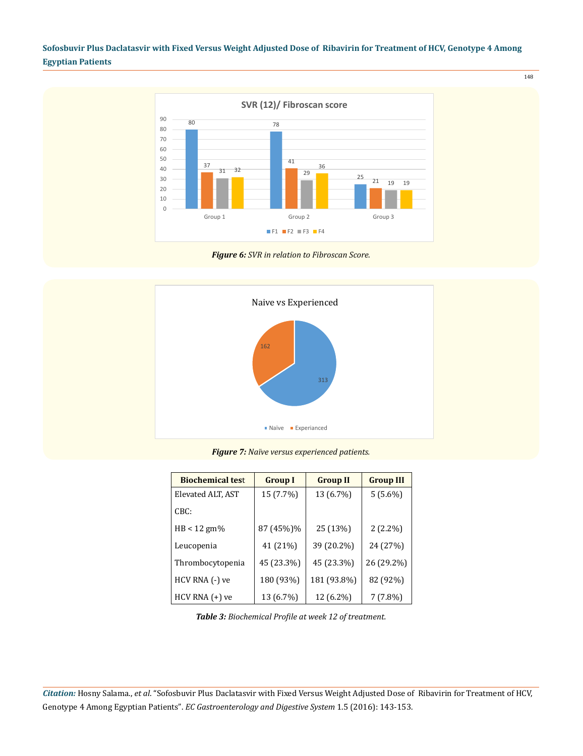

*Figure 6: SVR in relation to Fibroscan Score.*



*Figure 7: Naïve versus experienced patients.*

| <b>Biochemical test</b> | <b>Group I</b> | <b>Group II</b> | <b>Group III</b> |
|-------------------------|----------------|-----------------|------------------|
| Elevated ALT, AST       | 15 (7.7%)      | 13 (6.7%)       | $5(5.6\%)$       |
| CBC:                    |                |                 |                  |
| $HB < 12$ gm%           | 87 (45%)%      | 25 (13%)        | $2(2.2\%)$       |
| Leucopenia              | 41 (21%)       | 39 (20.2%)      | 24 (27%)         |
| Thrombocytopenia        | 45 (23.3%)     | 45 (23.3%)      | 26 (29.2%)       |
| HCV RNA (-) ve          | 180 (93%)      | 181 (93.8%)     | 82 (92%)         |
| $HCV$ RNA $(+)$ ve      | 13 (6.7%)      | 12 (6.2%)       | $7(7.8\%)$       |

*Table 3: Biochemical Profile at week 12 of treatment.*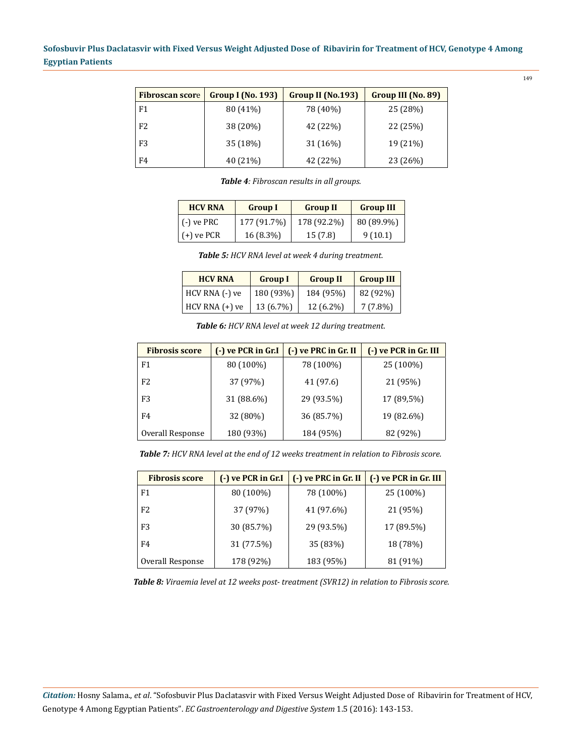| <b>Fibroscan score</b> | <b>Group I (No. 193)</b> | Group II (No.193) | Group III (No. 89) |
|------------------------|--------------------------|-------------------|--------------------|
| F1                     | 80 (41%)                 | 78 (40%)          | 25 (28%)           |
| F <sub>2</sub>         | 38 (20%)                 | 42 (22%)          | 22 (25%)           |
| F3                     | 35 (18%)                 | 31 (16%)          | 19 (21%)           |
| F4                     | 40 (21%)                 | 42 (22%)          | 23 (26%)           |

*Table 4: Fibroscan results in all groups.* 

| <b>HCV RNA</b> | <b>Group I</b> | <b>Group II</b> | <b>Group III</b> |
|----------------|----------------|-----------------|------------------|
| $(-)$ ve PRC   | 177 (91.7%)    | 178 (92.2%)     | 80 (89.9%)       |
| $(+)$ ve PCR   | $16(8.3\%)$    | 15(7.8)         | 9(10.1)          |

*Table 5: HCV RNA level at week 4 during treatment.*

| <b>HCV RNA</b>     | <b>Group I</b> | <b>Group II</b> | <b>Group III</b> |
|--------------------|----------------|-----------------|------------------|
| HCV RNA (-) ve     | 180 (93%)      | 184 (95%)       | 82 (92%)         |
| $HCV$ RNA $(+)$ ve | 13 (6.7%)      | 12 (6.2%)       | $7(7.8\%)$       |

*Table 6: HCV RNA level at week 12 during treatment.* 

| <b>Fibrosis score</b> | (-) ve PCR in Gr.I | $(-)$ ve PRC in Gr. II | (-) ve PCR in Gr. III |
|-----------------------|--------------------|------------------------|-----------------------|
| F1                    | 80 (100%)          | 78 (100%)              | 25 (100%)             |
| F <sub>2</sub>        | 37 (97%)           | 41 (97.6)              | 21 (95%)              |
| F3                    | 31 (88.6%)         | 29 (93.5%)             | 17 (89,5%)            |
| F4                    | 32 (80%)           | 36 (85.7%)             | 19 (82.6%)            |
| Overall Response      | 180 (93%)          | 184 (95%)              | 82 (92%)              |

*Table 7: HCV RNA level at the end of 12 weeks treatment in relation to Fibrosis score.* 

| <b>Fibrosis score</b> | (-) ve PCR in Gr.I | (-) ve PRC in Gr. II | (-) ve PCR in Gr. III |
|-----------------------|--------------------|----------------------|-----------------------|
| F1                    | 80 (100%)          | 78 (100%)            | 25 (100%)             |
| F <sub>2</sub>        | 37 (97%)           | 41 (97.6%)           | 21 (95%)              |
| F3                    | 30 (85.7%)         | 29 (93.5%)           | 17 (89.5%)            |
| F4                    | 31 (77.5%)         | 35 (83%)             | 18 (78%)              |
| Overall Response      | 178 (92%)          | 183 (95%)            | 81 (91%)              |

*Table 8: Viraemia level at 12 weeks post- treatment (SVR12) in relation to Fibrosis score.*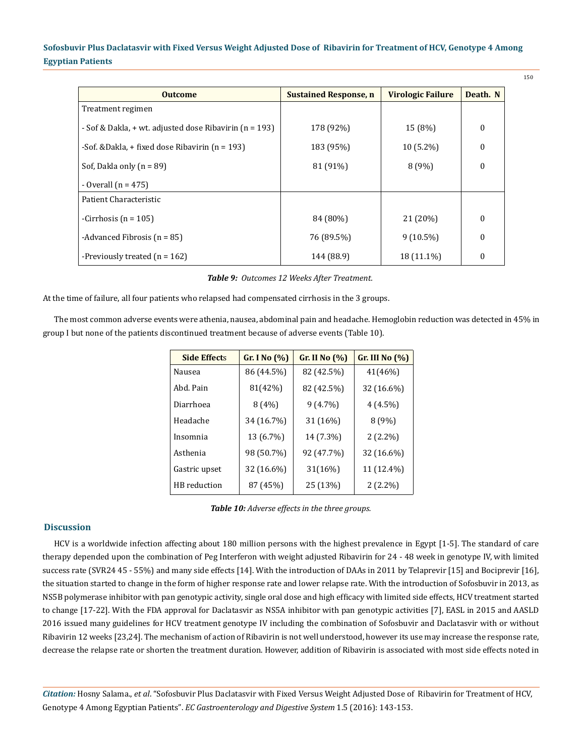| <b>Outcome</b>                                               | <b>Sustained Response, n</b> | <b>Virologic Failure</b> | Death. N         |
|--------------------------------------------------------------|------------------------------|--------------------------|------------------|
| Treatment regimen                                            |                              |                          |                  |
| - Sof & Dakla, $+$ wt. adjusted dose Ribavirin ( $n = 193$ ) | 178 (92%)                    | 15 (8%)                  | $\boldsymbol{0}$ |
| -Sof. & Dakla, $+$ fixed dose Ribavirin ( $n = 193$ )        | 183 (95%)                    | $10(5.2\%)$              | $\Omega$         |
| Sof, Dakla only $(n = 89)$                                   | 81 (91%)                     | 8(9%)                    | $\theta$         |
| - Overall $(n = 475)$                                        |                              |                          |                  |
| Patient Characteristic                                       |                              |                          |                  |
| -Cirrhosis ( $n = 105$ )                                     | 84 (80%)                     | 21 (20%)                 | $\mathbf{0}$     |
| -Advanced Fibrosis ( $n = 85$ )                              | 76 (89.5%)                   | $9(10.5\%)$              | $\mathbf{0}$     |
| -Previously treated $(n = 162)$                              | 144 (88.9)                   | 18 (11.1%)               | $\mathbf{0}$     |

#### *Table 9: Outcomes 12 Weeks After Treatment.*

At the time of failure, all four patients who relapsed had compensated cirrhosis in the 3 groups.

The most common adverse events were athenia, nausea, abdominal pain and headache. Hemoglobin reduction was detected in 45% in group I but none of the patients discontinued treatment because of adverse events (Table 10).

| <b>Side Effects</b> | Gr. I No $(\%)$ | Gr. II No $(\%)$ | Gr. III No $(\%)$ |
|---------------------|-----------------|------------------|-------------------|
| Nausea              | 86 (44.5%)      | 82 (42.5%)       | 41(46%)           |
| Abd. Pain           | 81(42%)         | 82 (42.5%)       | 32 (16.6%)        |
| Diarrhoea           | 8(4%)           | $9(4.7\%)$       | $4(4.5\%)$        |
| Headache            | 34 (16.7%)      | 31 (16%)         | 8(9%)             |
| Insomnia            | 13 (6.7%)       | 14 (7.3%)        | $2(2.2\%)$        |
| Asthenia            | 98 (50.7%)      | 92 (47.7%)       | 32 (16.6%)        |
| Gastric upset       | 32 (16.6%)      | 31(16%)          | 11 (12.4%)        |
| HB reduction        | 87 (45%)        | 25 (13%)         | $2(2.2\%)$        |

|  |  |  | Table 10: Adverse effects in the three groups. |
|--|--|--|------------------------------------------------|
|--|--|--|------------------------------------------------|

### **Discussion**

HCV is a worldwide infection affecting about 180 million persons with the highest prevalence in Egypt [1-5]. The standard of care therapy depended upon the combination of Peg Interferon with weight adjusted Ribavirin for 24 - 48 week in genotype IV, with limited success rate (SVR24 45 - 55%) and many side effects [14]. With the introduction of DAAs in 2011 by Telaprevir [15] and Bociprevir [16], the situation started to change in the form of higher response rate and lower relapse rate. With the introduction of Sofosbuvir in 2013, as NS5B polymerase inhibitor with pan genotypic activity, single oral dose and high efficacy with limited side effects, HCV treatment started to change [17-22]. With the FDA approval for Daclatasvir as NS5A inhibitor with pan genotypic activities [7], EASL in 2015 and AASLD 2016 issued many guidelines for HCV treatment genotype IV including the combination of Sofosbuvir and Daclatasvir with or without Ribavirin 12 weeks [23,24]. The mechanism of action of Ribavirin is not well understood, however its use may increase the response rate, decrease the relapse rate or shorten the treatment duration. However, addition of Ribavirin is associated with most side effects noted in

*Citation:* Hosny Salama., *et al*. "Sofosbuvir Plus Daclatasvir with Fixed Versus Weight Adjusted Dose of Ribavirin for Treatment of HCV, Genotype 4 Among Egyptian Patients". *EC Gastroenterology and Digestive System* 1.5 (2016): 143-153.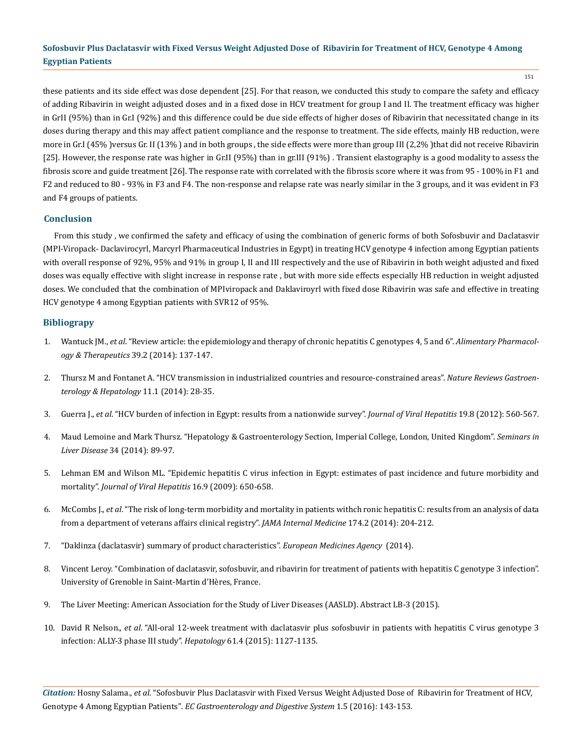these patients and its side effect was dose dependent [25]. For that reason, we conducted this study to compare the safety and efficacy of adding Ribavirin in weight adjusted doses and in a fixed dose in HCV treatment for group I and II. The treatment efficacy was higher in GrII (95%) than in Gr.I (92%) and this difference could be due side effects of higher doses of Ribavirin that necessitated change in its doses during therapy and this may affect patient compliance and the response to treatment. The side effects, mainly HB reduction, were more in Gr.I (45%) versus Gr. II (13%) and in both groups, the side effects were more than group III (2,2%) that did not receive Ribavirin [25]. However, the response rate was higher in Gr.II (95%) than in gr.III (91%) . Transient elastography is a good modality to assess the fibrosis score and guide treatment [26]. The response rate with correlated with the fibrosis score where it was from 95 - 100% in F1 and F2 and reduced to 80 - 93% in F3 and F4. The non-response and relapse rate was nearly similar in the 3 groups, and it was evident in F3 and F4 groups of patients.

### **Conclusion**

From this study , we confirmed the safety and efficacy of using the combination of generic forms of both Sofosbuvir and Daclatasvir (MPI-Viropack- Daclavirocyrl, Marcyrl Pharmaceutical Industries in Egypt) in treating HCV genotype 4 infection among Egyptian patients with overall response of 92%, 95% and 91% in group I, II and III respectively and the use of Ribavirin in both weight adjusted and fixed doses was equally effective with slight increase in response rate , but with more side effects especially HB reduction in weight adjusted doses. We concluded that the combination of MPIviropack and Daklaviroyrl with fixed dose Ribavirin was safe and effective in treating HCV genotype 4 among Egyptian patients with SVR12 of 95%.

#### **Bibliograpy**

- 1. Wantuck JM., *et al*[. "Review article: the epidemiology and therapy of chronic hepatitis C genotypes 4, 5 and 6".](https://www.ncbi.nlm.nih.gov/pubmed/24251930) *Alimentary Pharmacology & Therapeutics* [39.2 \(2014\): 137-147.](https://www.ncbi.nlm.nih.gov/pubmed/24251930)
- 2. [Thursz M and Fontanet A. "HCV transmission in industrialized countries and resource-constrained areas".](https://www.ncbi.nlm.nih.gov/pubmed/24080775) *Nature Reviews Gastroen[terology & Hepatology](https://www.ncbi.nlm.nih.gov/pubmed/24080775)* 11.1 (2014): 28-35.
- 3. Guerra J., *et al*[. "HCV burden of infection in Egypt: results from a nationwide survey".](https://www.ncbi.nlm.nih.gov/pubmed/22762140) *Journal of Viral Hepatitis* 19.8 (2012): 560-567.
- 4. Maud Lemoine and Mark Thursz. "Hepatology & Gastroenterology Section, Imperial College, London, United Kingdom". *Seminars in Liver Disease* 34 (2014): 89-97.
- 5. [Lehman EM and Wilson ML. "Epidemic hepatitis C virus infection in Egypt: estimates of past incidence and future morbidity and](https://www.ncbi.nlm.nih.gov/pubmed/19413698) mortality". *[Journal of Viral Hepatitis](https://www.ncbi.nlm.nih.gov/pubmed/19413698)* 16.9 (2009): 650-658.
- 6. McCombs J., *et al*[. "The risk of long-term morbidity and mortality in patients withch ronic hepatitis C: results from an analysis of data](https://www.ncbi.nlm.nih.gov/pubmed/24193887) [from a department of veterans affairs clinical registry".](https://www.ncbi.nlm.nih.gov/pubmed/24193887) *JAMA Internal Medicine* 174.2 (2014): 204-212.
- 7. "[Daklinza \(daclatasvir\) summary of product characteristics".](ttp://www.ema.europa.eu/docs/en_GB/document_library/EPAR_-_Product_Information/human/003768/WC500172848.pdf) *European Medicines Agency* (2014).
- 8. Vincent Leroy. "Combination of daclatasvir, sofosbuvir, and ribavirin for treatment of patients with hepatitis C genotype 3 infection". University of Grenoble in Saint-Martin d'Hères, France.
- 9. The Liver Meeting: American Association for the Study of Liver Diseases (AASLD). Abstract LB-3 (2015).
- 10. David R Nelson., *et al*[. "All-oral 12-week treatment with daclatasvir plus sofosbuvir in patients with hepatitis C virus genotype 3](https://www.ncbi.nlm.nih.gov/pubmed/25614962) [infection: ALLY-3 phase III study".](https://www.ncbi.nlm.nih.gov/pubmed/25614962) *Hepatology* 61.4 (2015): 1127-1135.

*Citation:* Hosny Salama., *et al*. "Sofosbuvir Plus Daclatasvir with Fixed Versus Weight Adjusted Dose of Ribavirin for Treatment of HCV, Genotype 4 Among Egyptian Patients". *EC Gastroenterology and Digestive System* 1.5 (2016): 143-153.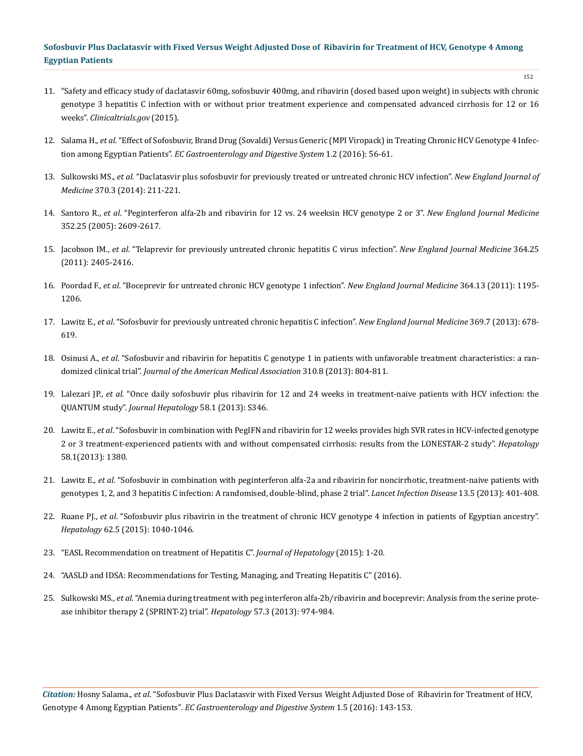- 152
- 11. ["Safety and efficacy study of daclatasvir 60mg, sofosbuvir 400mg, and ribavirin \(dosed based upon weight\) in subjects with chronic](https://www.clinicaltrials.gov/ct2/show/NCT02319031) [genotype 3 hepatitis C infection with or without prior treatment experience and compensated advanced cirrhosis for 12 or 16](https://www.clinicaltrials.gov/ct2/show/NCT02319031) weeks". *[Clinicaltrials.gov](https://www.clinicaltrials.gov/ct2/show/NCT02319031)* (2015).
- 12. Salama H., *et al*[. "Effect of Sofosbuvir, Brand Drug \(Sovaldi\) Versus Generic \(MPI Viropack\) in Treating Chronic HCV Genotype 4 Infec](https://www.ecronicon.com/ecgds/pdf/ECGD-01-000011.pdf)tion among Egyptian Patients". *[EC Gastroenterology and Digestive System](https://www.ecronicon.com/ecgds/pdf/ECGD-01-000011.pdf)* 1.2 (2016): 56-61.
- 13. Sulkowski MS., *et al*[. "Daclatasvir plus sofosbuvir for previously treated or untreated chronic HCV infection".](https://www.ncbi.nlm.nih.gov/pubmed/24428467) *New England Journal of Medicine* [370.3 \(2014\): 211-221.](https://www.ncbi.nlm.nih.gov/pubmed/24428467)
- 14. Santoro R., *et al*[. "Peginterferon alfa-2b and ribavirin for 12 vs. 24 weeksin HCV genotype 2 or 3".](https://www.ncbi.nlm.nih.gov/pubmed/15972867) *New England Journal Medicine*  [352.25 \(2005\): 2609-2617.](https://www.ncbi.nlm.nih.gov/pubmed/15972867)
- 15. Jacobson IM., *et al*[. "Telaprevir for previously untreated chronic hepatitis C virus infection".](https://www.ncbi.nlm.nih.gov/pubmed/21696307) *New England Journal Medicine* 364.25 [\(2011\): 2405-2416.](https://www.ncbi.nlm.nih.gov/pubmed/21696307)
- 16. Poordad F., *et al*[. "Boceprevir for untreated chronic HCV genotype 1 infection".](https://www.ncbi.nlm.nih.gov/pubmed/21449783) *New England Journal Medicine* 364.13 (2011): 1195- [1206.](https://www.ncbi.nlm.nih.gov/pubmed/21449783)
- 17. Lawitz E., *et al*[. "Sofosbuvir for previously untreated chronic hepatitis C infection".](https://www.ncbi.nlm.nih.gov/pubmed/23944316) *New England Journal Medicine* 369.7 (2013): 678- [619.](https://www.ncbi.nlm.nih.gov/pubmed/23944316)
- 18. Osinusi A., *et al*[. "Sofosbuvir and ribavirin for hepatitis C genotype 1 in patients with unfavorable treatment characteristics: a ran](https://www.ncbi.nlm.nih.gov/pubmed/23982366)domized clinical trial". *[Journal of the American Medical Association](https://www.ncbi.nlm.nih.gov/pubmed/23982366)* 310.8 (2013): 804-811.
- 19. Lalezari JP., *et al*[. "Once daily sofosbuvir plus ribavirin for 12 and 24 weeks in treatment-naive patients with HCV infection: the](http://www.journal-of-hepatology.eu/article/S0168-8278(13)60847-8/abstract) QUANTUM study". *[Journal Hepatology](http://www.journal-of-hepatology.eu/article/S0168-8278(13)60847-8/abstract)* 58.1 (2013): S346.
- 20. Lawitz E., *et al*. "Sofosbuvir in combination with PegIFN and ribavirin for 12 weeks provides high SVR rates in HCV-infected genotype 2 or 3 treatment-experienced patients with and without compensated cirrhosis: results from the LONESTAR-2 study". *Hepatology* 58.1(2013): 1380.
- 21. Lawitz E., *et al*[. "Sofosbuvir in combination with peginterferon alfa-2a and ribavirin for noncirrhotic, treatment-naive patients with](https://www.ncbi.nlm.nih.gov/pubmed/23499158) [genotypes 1, 2, and 3 hepatitis C infection: A randomised, double-blind, phase 2 trial".](https://www.ncbi.nlm.nih.gov/pubmed/23499158) *Lancet Infection Disease* 13.5 (2013): 401-408.
- 22. Ruane PJ., *et al*[. "Sofosbuvir plus ribavirin in the treatment of chronic HCV genotype 4 infection in patients of Egyptian ancestry".](https://www.ncbi.nlm.nih.gov/pubmed/25450208) *Hepatology* [62.5 \(2015\): 1040-1046.](https://www.ncbi.nlm.nih.gov/pubmed/25450208)
- 23. "EASL Recommendation on treatment of Hepatitis C". *Journal of Hepatology* (2015): 1-20.
- 24. "AASLD and IDSA: Recommendations for Testing, Managing, and Treating Hepatitis C" (2016).
- 25. Sulkowski MS., *et al*[. "Anemia during treatment with peg interferon alfa-2b/ribavirin and boceprevir: Analysis from the serine prote](https://www.ncbi.nlm.nih.gov/pubmed/23081753)[ase inhibitor therapy 2 \(SPRINT-2\) trial".](https://www.ncbi.nlm.nih.gov/pubmed/23081753) *Hepatology* 57.3 (2013): 974-984.